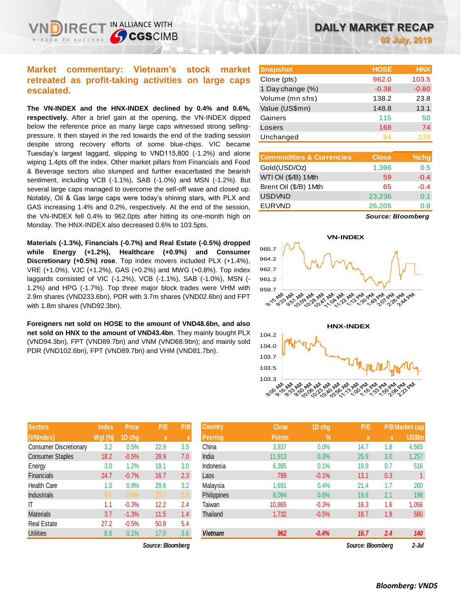IN ALLIANCE WITH

**CGSCIMB** 

**The VN-INDEX and the HNX-INDEX declined by 0.4% and 0.6%, respectively.** After a brief gain at the opening, the VN-INDEX dipped below the reference price as many large caps witnessed strong sellingpressure. It then stayed in the red towards the end of the trading session despite strong recovery efforts of some blue-chips. VIC became Tuesday's largest laggard, slipping to VND115,800 (-1.2%) and alone wiping 1.4pts off the index. Other market pillars from Financials and Food & Beverage sectors also slumped and further exacerbated the bearish sentiment, including VCB (-1.1%), SAB (-1.0%) and MSN (-1.2%). But several large caps managed to overcome the sell-off wave and closed up. Notably, Oil & Gas large caps were today's shining stars, with PLX and GAS increasing 1.4% and 0.2%, respectively. At the end of the session, the VN-INDEX fell 0.4% to 962.0pts after hitting its one-month high on Monday. The HNX-INDEX also decreased 0.6% to 103.5pts.

**Materials (-1.3%), Financials (-0.7%) and Real Estate (-0.5%) dropped while Energy (+1.2%), Healthcare (+0.9%) and Consumer Discretionary (+0.5%) rose**. Top index movers included PLX (+1.4%), VRE (+1.0%), VJC (+1.2%), GAS (+0.2%) and MWG (+0.8%). Top index laggards consisted of VIC (-1.2%), VCB (-1.1%), SAB (-1.0%), MSN (- 1.2%) and HPG (-1.7%). Top three major block trades were VHM with 2.9m shares (VND233.6bn), PDR with 3.7m shares (VND02.6bn) and FPT with 1.8m shares (VND92.3bn).

**Foreigners net sold on HOSE to the amount of VND48.6bn, and also net sold on HNX to the amount of VND43.4bn**. They mainly bought PLX (VND94.3bn), FPT (VND89.7bn) and VNM (VND68.9bn); and mainly sold PDR (VND102.6bn), FPT (VND89.7bn) and VHM (VND81.7bn).

| <b>Sectors</b>                | <b>Index</b> | <b>Price</b> | P/E  | P/B |
|-------------------------------|--------------|--------------|------|-----|
| (VNIndex)                     | Wgt (%)      | 1D chg       | X    | X   |
| <b>Consumer Discretionary</b> | 3.2          | 0.5%         | 22.9 | 3.5 |
| <b>Consumer Staples</b>       | 18.2         | $-0.5%$      | 28.9 | 7.0 |
| Energy                        | 3.0          | 1.2%         | 18.1 | 3.0 |
| <b>Financials</b>             | 24.7         | $-0.7%$      | 16.7 | 2.3 |
| <b>Health Care</b>            | 1.0          | 0.9%         | 29.6 | 3.2 |
| <b>Industrials</b>            | 9.1          | 0.0%         | 20.7 | 3.0 |
| ΙT                            | 1.1          | $-0.3%$      | 12.2 | 2.4 |
| <b>Materials</b>              | 3.7          | $-1.3%$      | 11.5 | 1.4 |
| <b>Real Estate</b>            | 27.2         | $-0.5%$      | 50.8 | 5.4 |
| <b>Utilities</b>              | 8.8          | 0.1%         | 17.0 | 3.6 |

*Source: Bloomberg Source: Bloomberg 2-Jul*

| <b>Snapshot</b>  | <b>HOSE</b> | <b>HNX</b> |
|------------------|-------------|------------|
| Close (pts)      | 962.0       | 103.5      |
| 1 Day change (%) | $-0.38$     | $-0.60$    |
| Volume (mn shs)  | 138.2       | 23.8       |
| Value (US\$mn)   | 148.8       | 13.1       |
| Gainers          | 115         | 50         |
| Losers           | 168         | 74         |
| Unchanged        | 94          | 239        |
|                  |             |            |

| <b>Commodities &amp; Currencies</b> | <b>Close</b> | $%$ chg |
|-------------------------------------|--------------|---------|
| Gold(USD/Oz)                        | 1,396        | 0.5     |
| WTI Oil (\$/B) 1Mth                 | 59           | $-0.4$  |
| Brent Oil (\$/B) 1Mth               | 65           | $-0.4$  |
| <b>USDVND</b>                       | 23,236       | 0.1     |
| <b>EURVND</b>                       | 26,205       | 0.8     |
|                                     |              |         |

*Source: Bloomberg*





| <b>Sectors</b>          | <b>Index</b>   | <b>Price</b> | P/E               | P/B | Country        | <b>Close</b>  | 1D chg     | P/E               |             | <b>P/B Market cap</b> |
|-------------------------|----------------|--------------|-------------------|-----|----------------|---------------|------------|-------------------|-------------|-----------------------|
| (VNIndex)               | <b>Wgt (%)</b> | 1D chg       | X                 |     | <b>Peering</b> | <b>Points</b> | $\sqrt{2}$ | $\mathbf{x}$      | $\mathbf x$ | <b>US\$bn</b>         |
| Consumer Discretionary  | 3.2            | 0.5%         | 22.9              | 3.5 | China          | 3,937         | 0.0%       | 14.7              | 1.8         | 4,565                 |
| <b>Consumer Staples</b> | 18.2           | $-0.5%$      | 28.9              | 7.0 | India          | 11,913        | 0.3%       | 25.9              | 3.0         | 1,257                 |
| Energy                  | 3.0            | 1.2%         | 18.1              | 3.0 | Indonesia      | 6,385         | 0.1%       | 19.9              | 0.7         | 516                   |
| Financials              | 24.7           | $-0.7%$      | 16.7              | 2.3 | Laos           | 789           | $-0.1%$    | 13.1              | 0.3         |                       |
| Health Care             | 1.0            | 0.9%         | 29.6              | 3.2 | Malavsia       | 1,691         | 0.4%       | 21.4              | 1.7         | 260                   |
| <b>Industrials</b>      | 9.1            | 0.0%         | 20.7              | 3.0 | Philippines    | 8,094         | 0.6%       | 19.6              | 2.1         | 198                   |
| Т                       | 1.1            | $-0.3%$      | 12.2              | 2.4 | Taiwan         | 10,865        | $-0.3%$    | 16.3              | 1.6         | 1,056                 |
| Materials               | 3.7            | $-1.3%$      | 11.5              | 1.4 | Thailand       | 1,732         | $-0.5%$    | 18.7              | 1.9         | 580                   |
| Real Estate             | 27.2           | $-0.5%$      | 50.8              | 5.4 |                |               |            |                   |             |                       |
| <b>Utilities</b>        | 8.8            | 0.1%         | 17.0              | 3.6 | <b>Vietnam</b> | 962           | $-0.4%$    | 16.7              | 2.4         | 140                   |
|                         |                |              | Source: Bloombera |     |                |               |            | Source: Bloombera |             | 2-Jul                 |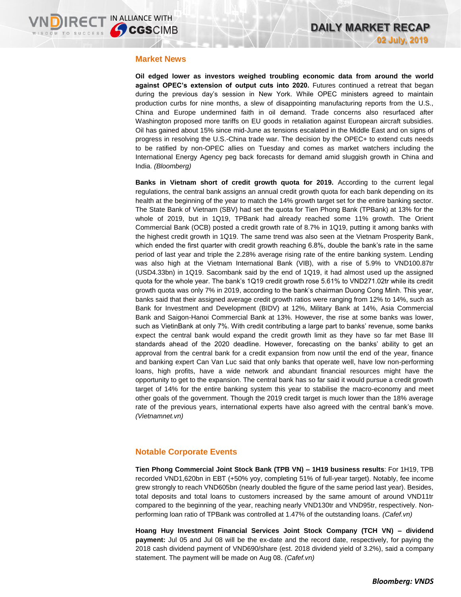## **Market News**

**Oil edged lower as investors weighed troubling economic data from around the world against OPEC's extension of output cuts into 2020.** Futures continued a retreat that began during the previous day's session in New York. While OPEC ministers agreed to maintain production curbs for nine months, a slew of disappointing manufacturing reports from the U.S., China and Europe undermined faith in oil demand. Trade concerns also resurfaced after Washington proposed more tariffs on EU goods in retaliation against European aircraft subsidies. Oil has gained about 15% since mid-June as tensions escalated in the Middle East and on signs of progress in resolving the U.S.-China trade war. The decision by the OPEC+ to extend cuts needs to be ratified by non-OPEC allies on Tuesday and comes as market watchers including the International Energy Agency peg back forecasts for demand amid sluggish growth in China and India. *(Bloomberg)*

**Banks in Vietnam short of credit growth quota for 2019.** According to the current legal regulations, the central bank assigns an annual credit growth quota for each bank depending on its health at the beginning of the year to match the 14% growth target set for the entire banking sector. The State Bank of Vietnam (SBV) had set the quota for Tien Phong Bank (TPBank) at 13% for the whole of 2019, but in 1Q19, TPBank had already reached some 11% growth. The Orient Commercial Bank (OCB) posted a credit growth rate of 8.7% in 1Q19, putting it among banks with the highest credit growth in 1Q19. The same trend was also seen at the Vietnam Prosperity Bank, which ended the first quarter with credit growth reaching 6.8%, double the bank's rate in the same period of last year and triple the 2.28% average rising rate of the entire banking system. Lending was also high at the Vietnam International Bank (VIB), with a rise of 5.9% to VND100.87tr (USD4.33bn) in 1Q19. Sacombank said by the end of 1Q19, it had almost used up the assigned quota for the whole year. The bank's 1Q19 credit growth rose 5.61% to VND271.02tr while its credit growth quota was only 7% in 2019, according to the bank's chairman Duong Cong Minh. This year, banks said that their assigned average credit growth ratios were ranging from 12% to 14%, such as Bank for Investment and Development (BIDV) at 12%, Military Bank at 14%, Asia Commercial Bank and Saigon-Hanoi Commercial Bank at 13%. However, the rise at some banks was lower, such as VietinBank at only 7%. With credit contributing a large part to banks' revenue, some banks expect the central bank would expand the credit growth limit as they have so far met Base lII standards ahead of the 2020 deadline. However, forecasting on the banks' ability to get an approval from the central bank for a credit expansion from now until the end of the year, finance and banking expert Can Van Luc said that only banks that operate well, have low non-performing loans, high profits, have a wide network and abundant financial resources might have the opportunity to get to the expansion. The central bank has so far said it would pursue a credit growth target of 14% for the entire banking system this year to stabilise the macro-economy and meet other goals of the government. Though the 2019 credit target is much lower than the 18% average rate of the previous years, international experts have also agreed with the central bank's move. *(Vietnamnet.vn)*

# **Notable Corporate Events**

**Tien Phong Commercial Joint Stock Bank (TPB VN) – 1H19 business results**: For 1H19, TPB recorded VND1,620bn in EBT (+50% yoy, completing 51% of full-year target). Notably, fee income grew strongly to reach VND605bn (nearly doubled the figure of the same period last year). Besides, total deposits and total loans to customers increased by the same amount of around VND11tr compared to the beginning of the year, reaching nearly VND130tr and VND95tr, respectively. Nonperforming loan ratio of TPBank was controlled at 1.47% of the outstanding loans*. (Cafef.vn)*

**Hoang Huy Investment Financial Services Joint Stock Company (TCH VN) – dividend payment:** Jul 05 and Jul 08 will be the ex-date and the record date, respectively, for paying the 2018 cash dividend payment of VND690/share (est. 2018 dividend yield of 3.2%), said a company statement. The payment will be made on Aug 08. *(Cafef.vn)*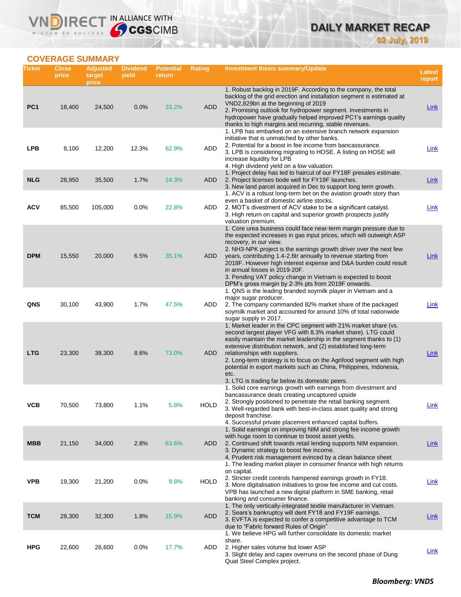# **DAILY MARKET RECAP 02 July, 2019**

# **COVERAGE SUMMARY**

WISDOM TO SUCCESS

VND

IRECT IN ALLIANCE WITH

| Ticker          | <b>Close</b><br>price | <b>Adjusted</b><br>target<br>price | <b>Dividend</b><br>yield | <b>Potential</b><br>return | Rating      | Investment thesis summary/Update                                                                                                                                                                                                                                                                                                                                                                                                                                                                                                                             | <b>Latest</b><br>report |
|-----------------|-----------------------|------------------------------------|--------------------------|----------------------------|-------------|--------------------------------------------------------------------------------------------------------------------------------------------------------------------------------------------------------------------------------------------------------------------------------------------------------------------------------------------------------------------------------------------------------------------------------------------------------------------------------------------------------------------------------------------------------------|-------------------------|
| PC <sub>1</sub> | 18,400                | 24,500                             | 0.0%                     | 33.2%                      | <b>ADD</b>  | 1. Robust backlog in 2019F. According to the company, the total<br>backlog of the grid erection and installation segment is estimated at<br>VND2,829bn at the beginning of 2019<br>2. Promising outlook for hydropower segment. Investments in<br>hydropower have gradually helped improved PC1's earnings quality                                                                                                                                                                                                                                           | <b>Link</b>             |
| <b>LPB</b>      | 8,100                 | 12,200                             | 12.3%                    | 62.9%                      | ADD         | thanks to high margins and recurring, stable revenues.<br>1. LPB has embarked on an extensive branch network expansion<br>initiative that is unmatched by other banks.<br>2. Potential for a boost in fee income from bancassurance.<br>3. LPB is considering migrating to HOSE. A listing on HOSE will<br>increase liquidity for LPB<br>4. High dividend yield on a low valuation.                                                                                                                                                                          | Link                    |
| <b>NLG</b>      | 28,950                | 35,500                             | 1.7%                     | 24.3%                      | ADD         | 1. Project delay has led to haircut of our FY18F presales estimate.<br>2. Project licenses bode well for FY19F launches.<br>3. New land parcel acquired in Dec to support long term growth.                                                                                                                                                                                                                                                                                                                                                                  | Link                    |
| <b>ACV</b>      | 85,500                | 105,000                            | 0.0%                     | 22.8%                      | ADD         | 1. ACV is a robust long-term bet on the aviation growth story than<br>even a basket of domestic airline stocks.<br>2. MOT's divestment of ACV stake to be a significant catalyst.<br>3. High return on capital and superior growth prospects justify                                                                                                                                                                                                                                                                                                         | <b>Link</b>             |
| <b>DPM</b>      | 15,550                | 20,000                             | 6.5%                     | 35.1%                      | ADD         | valuation premium.<br>1. Core urea business could face near-term margin pressure due to<br>the expected increases in gas input prices, which will outweigh ASP<br>recovery, in our view.<br>2. NH3-NPK project is the earnings growth driver over the next few<br>years, contributing 1.4-2.6tr annually to revenue starting from<br>2018F. However high interest expense and D&A burden could result<br>in annual losses in 2019-20F.<br>3. Pending VAT policy change in Vietnam is expected to boost<br>DPM's gross margin by 2-3% pts from 2019F onwards. | Link                    |
| <b>QNS</b>      | 30,100                | 43,900                             | 1.7%                     | 47.5%                      | ADD         | 1. QNS is the leading branded soymilk player in Vietnam and a<br>major sugar producer.<br>2. The company commanded 82% market share of the packaged<br>soymilk market and accounted for around 10% of total nationwide<br>sugar supply in 2017.                                                                                                                                                                                                                                                                                                              | <b>Link</b>             |
| <b>LTG</b>      | 23,300                | 38,300                             | 8.6%                     | 73.0%                      | ADD         | 1. Market leader in the CPC segment with 21% market share (vs.<br>second largest player VFG with 8.3% market share). LTG could<br>easily maintain the market leadership in the segment thanks to (1)<br>extensive distribution network, and (2) established long-term<br>relationships with suppliers.<br>2. Long-term strategy is to focus on the Agrifood segment with high<br>potential in export markets such as China, Philippines, Indonesia,<br>etc.<br>3. LTG is trading far below its domestic peers.                                               | Link                    |
| ѴСВ             | 70,500                | 73,800                             | 1.1%                     | 5.8%                       | <b>HOLD</b> | 1. Solid core earnings growth with earnings from divestment and<br>bancassurance deals creating uncaptured upside<br>2. Strongly positioned to penetrate the retail banking segment.<br>3. Well-regarded bank with best-in-class asset quality and strong<br>deposit franchise.<br>4. Successful private placement enhanced capital buffers.                                                                                                                                                                                                                 | <u>Link</u>             |
| <b>MBB</b>      | 21,150                | 34,000                             | 2.8%                     | 63.6%                      | ADD         | 1. Solid earnings on improving NIM and strong fee income growth<br>with huge room to continue to boost asset yields.<br>2. Continued shift towards retail lending supports NIM expansion.<br>3. Dynamic strategy to boost fee income.<br>4. Prudent risk management evinced by a clean balance sheet                                                                                                                                                                                                                                                         | <u>Link</u>             |
| <b>VPB</b>      | 19,300                | 21,200                             | 0.0%                     | 9.8%                       | <b>HOLD</b> | 1. The leading market player in consumer finance with high returns<br>on capital.<br>2. Stricter credit controls hampered earnings growth in FY18.<br>3. More digitalisation initiatives to grow fee income and cut costs.<br>VPB has launched a new digital platform in SME banking, retail<br>banking and consumer finance.                                                                                                                                                                                                                                | <b>Link</b>             |
| <b>TCM</b>      | 28,300                | 32,300                             | 1.8%                     | 15.9%                      | <b>ADD</b>  | 1. The only vertically-integrated textile manufacturer in Vietnam.<br>2. Sears's bankruptcy will dent FY18 and FY19F earnings.<br>3. EVFTA is expected to confer a competitive advantage to TCM<br>due to "Fabric forward Rules of Origin"                                                                                                                                                                                                                                                                                                                   | <b>Link</b>             |
| <b>HPG</b>      | 22,600                | 26,600                             | 0.0%                     | 17.7%                      | ADD         | 1. We believe HPG will further consolidate its domestic market<br>share.<br>2. Higher sales volume but lower ASP<br>3. Slight delay and capex overruns on the second phase of Dung<br>Quat Steel Complex project.                                                                                                                                                                                                                                                                                                                                            | <b>Link</b>             |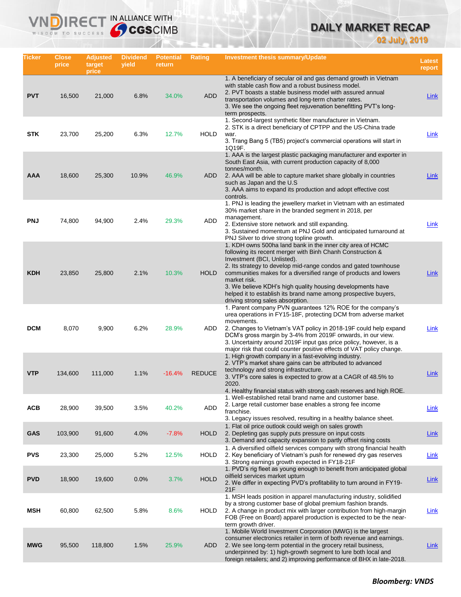# **DAILY MARKET RECAP**

**02 July, 2019**

| Ticker     | Close<br>price | <b>Adjusted</b><br>target<br>price | <b>Dividend</b><br>yield | <b>Potential</b><br>return | Rating        | Investment thesis summary/Update                                                                                                                                                                                                                                                                                                                                                                                                                                                    | <b>Latest</b><br>report |
|------------|----------------|------------------------------------|--------------------------|----------------------------|---------------|-------------------------------------------------------------------------------------------------------------------------------------------------------------------------------------------------------------------------------------------------------------------------------------------------------------------------------------------------------------------------------------------------------------------------------------------------------------------------------------|-------------------------|
| <b>PVT</b> | 16,500         | 21,000                             | 6.8%                     | 34.0%                      | <b>ADD</b>    | 1. A beneficiary of secular oil and gas demand growth in Vietnam<br>with stable cash flow and a robust business model.<br>2. PVT boasts a stable business model with assured annual<br>transportation volumes and long-term charter rates.<br>3. We see the ongoing fleet rejuvenation benefitting PVT's long-<br>term prospects.                                                                                                                                                   | <b>Link</b>             |
| <b>STK</b> | 23,700         | 25,200                             | 6.3%                     | 12.7%                      | <b>HOLD</b>   | 1. Second-largest synthetic fiber manufacturer in Vietnam.<br>2. STK is a direct beneficiary of CPTPP and the US-China trade<br>war.<br>3. Trang Bang 5 (TB5) project's commercial operations will start in<br>1Q19F.                                                                                                                                                                                                                                                               | Link                    |
| AAA        | 18,600         | 25,300                             | 10.9%                    | 46.9%                      | <b>ADD</b>    | 1. AAA is the largest plastic packaging manufacturer and exporter in<br>South East Asia, with current production capacity of 8,000<br>tonnes/month.<br>2. AAA will be able to capture market share globally in countries<br>such as Japan and the U.S.<br>3. AAA aims to expand its production and adopt effective cost<br>controls.                                                                                                                                                | Link                    |
| <b>PNJ</b> | 74,800         | 94,900                             | 2.4%                     | 29.3%                      | ADD           | 1. PNJ is leading the jewellery market in Vietnam with an estimated<br>30% market share in the branded segment in 2018, per<br>management.<br>2. Extensive store network and still expanding.<br>3. Sustained momentum at PNJ Gold and anticipated turnaround at<br>PNJ Silver to drive strong topline growth.                                                                                                                                                                      | <b>Link</b>             |
| <b>KDH</b> | 23,850         | 25,800                             | 2.1%                     | 10.3%                      | <b>HOLD</b>   | 1. KDH owns 500ha land bank in the inner city area of HCMC<br>following its recent merger with Binh Chanh Construction &<br>Investment (BCI, Unlisted).<br>2. Its strategy to develop mid-range condos and gated townhouse<br>communities makes for a diversified range of products and lowers<br>market risk.<br>3. We believe KDH's high quality housing developments have<br>helped it to establish its brand name among prospective buyers,<br>driving strong sales absorption. | Link                    |
| <b>DCM</b> | 8,070          | 9,900                              | 6.2%                     | 28.9%                      | ADD           | 1. Parent company PVN guarantees 12% ROE for the company's<br>urea operations in FY15-18F, protecting DCM from adverse market<br>movements.<br>2. Changes to Vietnam's VAT policy in 2018-19F could help expand<br>DCM's gross margin by 3-4% from 2019F onwards, in our view.<br>3. Uncertainty around 2019F input gas price policy, however, is a<br>major risk that could counter positive effects of VAT policy change.                                                         | Link                    |
| <b>VTP</b> | 134,600        | 111,000                            | 1.1%                     | $-16.4%$                   | <b>REDUCE</b> | 1. High growth company in a fast-evolving industry.<br>2. VTP's market share gains can be attributed to advanced<br>technology and strong infrastructure.<br>3. VTP's core sales is expected to grow at a CAGR of 48.5% to<br>2020.<br>4. Healthy financial status with strong cash reserves and high ROE.                                                                                                                                                                          | Link                    |
| <b>ACB</b> | 28,900         | 39,500                             | 3.5%                     | 40.2%                      | ADD           | 1. Well-established retail brand name and customer base.<br>2. Large retail customer base enables a strong fee income<br>franchise.<br>3. Legacy issues resolved, resulting in a healthy balance sheet.                                                                                                                                                                                                                                                                             | <b>Link</b>             |
| <b>GAS</b> | 103,900        | 91,600                             | 4.0%                     | $-7.8%$                    | <b>HOLD</b>   | 1. Flat oil price outlook could weigh on sales growth<br>2. Depleting gas supply puts pressure on input costs<br>3. Demand and capacity expansion to partly offset rising costs                                                                                                                                                                                                                                                                                                     | Link                    |
| <b>PVS</b> | 23,300         | 25,000                             | 5.2%                     | 12.5%                      | <b>HOLD</b>   | 1. A diversified oilfield services company with strong financial health<br>2. Key beneficiary of Vietnam's push for renewed dry gas reserves<br>3. Strong earnings growth expected in FY18-21F                                                                                                                                                                                                                                                                                      | <b>Link</b>             |
| <b>PVD</b> | 18,900         | 19,600                             | 0.0%                     | 3.7%                       | <b>HOLD</b>   | 1. PVD's rig fleet as young enough to benefit from anticipated global<br>oilfield services market upturn<br>2. We differ in expecting PVD's profitability to turn around in FY19-<br>21F                                                                                                                                                                                                                                                                                            | <b>Link</b>             |
| MSH        | 60,800         | 62,500                             | 5.8%                     | 8.6%                       | <b>HOLD</b>   | 1. MSH leads position in apparel manufacturing industry, solidified<br>by a strong customer base of global premium fashion brands.<br>2. A change in product mix with larger contribution from high-margin<br>FOB (Free on Board) apparel production is expected to be the near-<br>term growth driver.                                                                                                                                                                             | <b>Link</b>             |
| <b>MWG</b> | 95,500         | 118,800                            | 1.5%                     | 25.9%                      | ADD           | 1. Mobile World Investment Corporation (MWG) is the largest<br>consumer electronics retailer in term of both revenue and earnings.<br>2. We see long-term potential in the grocery retail business,<br>underpinned by: 1) high-growth segment to lure both local and<br>foreign retailers; and 2) improving performance of BHX in late-2018.                                                                                                                                        | <u>Link</u>             |

IN ALLIANCE WITH

Vľ

n

 $R \in C$ 

WISDOM TO SUCCESS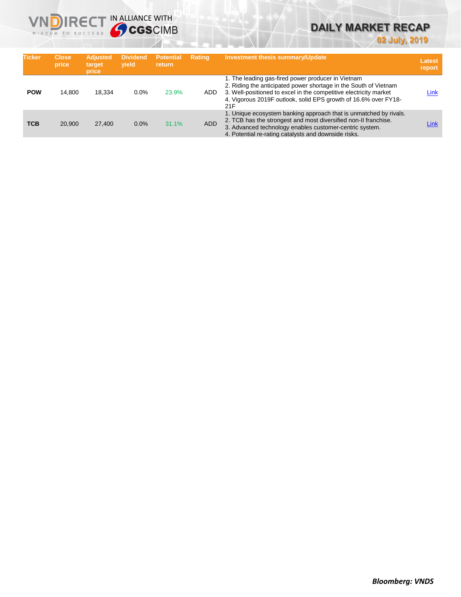

# **DAILY MARKET RECAP**

**02 July, 2019**

| <b>Ticker</b> | <b>Close</b><br>price | <b>Adjusted</b><br>target<br>price | <b>Dividend</b><br>vield | <b>Potential</b><br><b>return</b> | <b>Rating</b> | <b>Investment thesis summary/Update</b>                                                                                                                                                                                                                               | Latest<br>report |
|---------------|-----------------------|------------------------------------|--------------------------|-----------------------------------|---------------|-----------------------------------------------------------------------------------------------------------------------------------------------------------------------------------------------------------------------------------------------------------------------|------------------|
| <b>POW</b>    | 14.800                | 18.334                             | 0.0%                     | 23.9%                             | ADD.          | 1. The leading gas-fired power producer in Vietnam<br>2. Riding the anticipated power shortage in the South of Vietnam<br>3. Well-positioned to excel in the competitive electricity market<br>4. Vigorous 2019F outlook, solid EPS growth of 16.6% over FY18-<br>21F | Link             |
| <b>TCB</b>    | 20.900                | 27,400                             | 0.0%                     | 31.1%                             | <b>ADD</b>    | 1. Unique ecosystem banking approach that is unmatched by rivals.<br>2. TCB has the strongest and most diversified non-II franchise.<br>3. Advanced technology enables customer-centric system.<br>4. Potential re-rating catalysts and downside risks.               | Link             |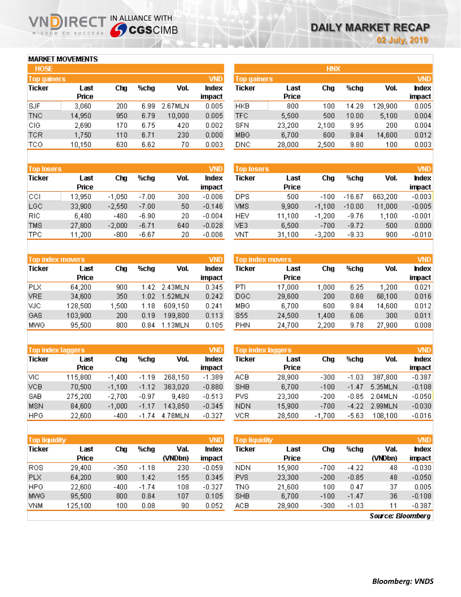**VND** 

hdex

impact

 $-0.003$ 

 $-0.005$ 

 $0.012$ 

 $0.011$ 

 $0.008$ 

Vol.

663,200

11,000

14,600

27,900

 $300$ 

## **MARKET MOVEMENTS**

WISDOM TO SUCCESS

| <b>HOSE</b>        |               |     |      |         |                 |
|--------------------|---------------|-----|------|---------|-----------------|
| <b>Top gainers</b> |               |     |      |         | <b>VND</b>      |
| <b>Ticker</b>      | Last<br>Price | Chg | %chg | Vol.    | Index<br>impact |
| SJF                | 3,060         | 200 | 6.99 | 2.67MLN | 0.005           |
| <b>TNC</b>         | 14,950        | 950 | 6.79 | 10,000  | 0.005           |
| CIG                | 2,690         | 170 | 6.75 | 420     | 0.002           |
| <b>TCR</b>         | 1,750         | 110 | 6.71 | 230     | 0.000           |
| <b>TCO</b>         | 10,150        | 630 | 6.62 | 70      | 0.003           |

IRECT IN ALLIANCE WITH

|                    |               | <b>HNX</b> |       |         |                 |
|--------------------|---------------|------------|-------|---------|-----------------|
| <b>Top gainers</b> |               |            |       |         | <b>VND</b>      |
| Ticker             | Last<br>Price | Cha        | %chg  | Vol.    | Index<br>impact |
| HKB                | 800           | 100        | 14.29 | 129,900 | 0.005           |
| <b>TFC</b>         | 5,500         | 500        | 10.00 | 5,100   | 0.004           |
| SFN                | 23,200        | 2,100      | 9.95  | 200     | 0.004           |
| MBG                | 6,700         | 600        | 9.84  | 14,600  | 0.012           |
| DNC                | 28,000        | 2,500      | 9.80  | 100     | 0.003           |

Chg

 $-100$ 

 $-1,100$ 

%chg

 $-16.67$ 

 $-10.00$ 

9.84

 $6.06$ 

9.78

| <b>Top losers</b> |        |          |         |      | <b>VND</b> |
|-------------------|--------|----------|---------|------|------------|
| Ticker            | Last   | Cha      | %chg    | Vol. | Index      |
|                   | Price  |          |         |      | impact     |
| CCL               | 13,950 | $-1,050$ | $-7.00$ | 300  | $-0.006$   |
| LGC               | 33,900 | $-2,550$ | $-7.00$ | 50   | $-0.146$   |
| RIC               | 6,480  | $-480$   | $-6.90$ | 20   | $-0.004$   |
| <b>TMS</b>        | 27,800 | $-2,000$ | $-6.71$ | 640  | $-0.028$   |
| <b>TPC</b>        | 11,200 | $-800$   | $-6.67$ | 20   | $-0.006$   |

| <b>Top index movers</b> |         |       |      |         | <b>VND</b> |
|-------------------------|---------|-------|------|---------|------------|
| <b>Ticker</b>           | Last    | Cha   | %cha | Vol.    | Index      |
|                         | Price   |       |      |         | impact     |
| PLX                     | 64,200  | 900   | 1.42 | 2.43MLN | 0.345      |
| <b>VRE</b>              | 34,600  | 350   | 1.02 | 1.52MLN | 0.242      |
| VJC.                    | 128,500 | 1,500 | 1.18 | 609,150 | 0.241      |
| GAS                     | 103,900 | 200   | 0.19 | 199,800 | 0.113      |
| <b>MWG</b>              | 95,500  | 800   | 0.84 | 1.13MLN | 0.105      |
|                         |         |       |      |         |            |

| <b>Top index laggers</b> |               |          |         |         | <b>VND</b>      |
|--------------------------|---------------|----------|---------|---------|-----------------|
| Ticker                   | Last<br>Price | Cha      | %cha    | Vol.    | Index<br>impact |
| vіс                      | 115,800       | $-1.400$ | $-1.19$ | 268,150 | $-1.389$        |
| <b>VCB</b>               | 70,500        | $-1,100$ | $-1.12$ | 363,020 | $-0.880$        |
| SAB                      | 275,200       | $-2,700$ | $-0.97$ | 9,480   | $-0.513$        |
| MSN                      | 84,600        | $-1,000$ | $-1.17$ | 143,850 | $-0.345$        |
| <b>HPG</b>               | 22,600        | $-400$   | $-1.74$ | 4.78MLN | $-0.327$        |

| HEV                     | 11,100 | $-1,200$ | $-9.76$ | 1,100 | $-0.001$   |
|-------------------------|--------|----------|---------|-------|------------|
| VE3                     | 6,500  | $-700$   | $-9.72$ | 500   | 0.000      |
| VNT                     | 31,100 | $-3,200$ | $-9.33$ | 900   | $-0.010$   |
|                         |        |          |         |       |            |
|                         |        |          |         |       |            |
| <b>Top index movers</b> |        |          |         |       | <b>VND</b> |
| Ticker                  | Last   | Cha      | %cha    | Vol.  | hdex       |
|                         | Price  |          |         |       | impact     |
| PTI                     | 17,000 | 1,000    | 6.25    | 1,200 | 0.021      |

600

1,400

2,200

| <b>Top index laggers</b> |               |          |         |         |                |  |  |  |  |  |
|--------------------------|---------------|----------|---------|---------|----------------|--|--|--|--|--|
| <b>Ticker</b>            | Last<br>Price | Cha      | %cha    | Vol.    | hdex<br>impact |  |  |  |  |  |
| ACB                      | 28,900        | $-300$   | $-1.03$ | 387,800 | $-0.387$       |  |  |  |  |  |
| <b>SHB</b>               | 6,700         | $-100$   | $-1.47$ | 5.35MLN | $-0.108$       |  |  |  |  |  |
| <b>PVS</b>               | 23,300        | $-200$   | $-0.85$ | 2.04MLN | $-0.050$       |  |  |  |  |  |
| <b>NDN</b>               | 15,900        | $-700$   | $-4.22$ | 2.99MLN | $-0.030$       |  |  |  |  |  |
| VCR                      | 28,500        | $-1,700$ | $-5.63$ | 108,100 | $-0.016$       |  |  |  |  |  |

| <b>Top liquidity</b> |               |      |         |                 | VND             | <b>Top liquidity</b> |               |        |         |                 | <b>VND</b>      |
|----------------------|---------------|------|---------|-----------------|-----------------|----------------------|---------------|--------|---------|-----------------|-----------------|
| <b>Ticker</b>        | Last<br>Price | Cha  | %cha    | Val.<br>(VNDbn) | Index<br>impact | Ticker               | Last<br>Price | Chg    | %cha    | Val.<br>(VNDbn) | Index<br>impact |
| <b>ROS</b>           | 29.400        | -350 | $-1.18$ | 230             | $-0.059$        | <b>NDN</b>           | 15.900        | $-700$ | $-4.22$ | 48              | $-0.030$        |
| <b>PLX</b>           | 64,200        | 900  | 1.42    | 155             | 0.345           | <b>PVS</b>           | 23,300        | $-200$ | $-0.85$ | 48              | $-0.050$        |
| <b>HPG</b>           | 22,600        | -400 | $-1.74$ | 108             | $-0.327$        | TNG                  | 21,600        | 100    | 0.47    | 37              | 0.005           |
| <b>MWG</b>           | 95,500        | 800  | 0.84    | 107             | 0.105           | <b>SHB</b>           | 6,700         | $-100$ | $-1.47$ | 36              | $-0.108$        |
| <b>VNM</b>           | 125.100       | 100  | 0.08    | 90              | 0.052           | ACB                  | 28,900        | $-300$ | $-1.03$ | 11              | $-0.387$        |

**Top losers** 

Last

**Price** 

500

9,900

6,700

24,500

24,700

**Ticker** 

**DPS** 

VMS

MBG

**S55** 

PHN

**Source: Bloomberg**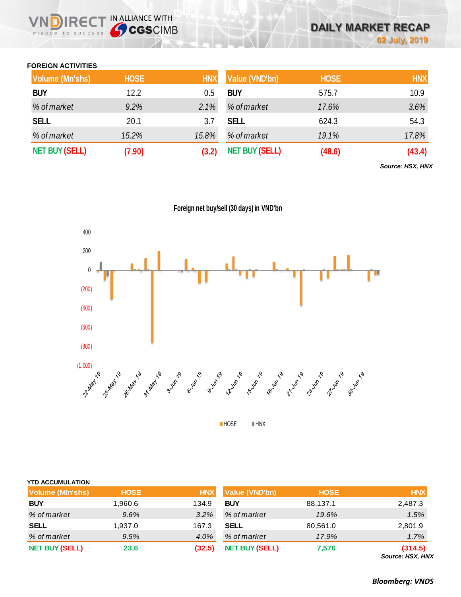## **FOREIGN ACTIVITIES**

WISDOM TO SUCCESS

n

IRECT IN ALLIANCE WITH

| <b>Volume (Mn'shs)</b> | <b>HOSE</b> | <b>HNX</b> | Value (VND'bn)        | <b>HOSE</b> | <b>HNX</b> |
|------------------------|-------------|------------|-----------------------|-------------|------------|
| <b>BUY</b>             | 12.2        | 0.5        | <b>BUY</b>            | 575.7       | 10.9       |
| % of market            | 9.2%        | 2.1%       | % of market           | 17.6%       | 3.6%       |
| <b>SELL</b>            | 20.1        | 3.7        | <b>SELL</b>           | 624.3       | 54.3       |
| % of market            | 15.2%       | 15.8%      | % of market           | 19.1%       | 17.8%      |
| <b>NET BUY (SELL)</b>  | (7.90)      | (3.2)      | <b>NET BUY (SELL)</b> | (48.6)      | (43.4)     |

*Source: HSX, HNX*

**Foreign net buy/sell (30 days) in VND'bn**



**HOSE HNX** 

| <b>YTD ACCUMULATION</b> |             |            |                       |             |            |
|-------------------------|-------------|------------|-----------------------|-------------|------------|
| <b>Volume (MIn'shs)</b> | <b>HOSE</b> | <b>HNX</b> | <b>Value (VND'bn)</b> | <b>HOSE</b> | <b>HNX</b> |
| <b>BUY</b>              | 1.960.6     | 134.9      | <b>BUY</b>            | 88,137.1    | 2,487.3    |
| % of market             | 9.6%        | 3.2%       | % of market           | 19.6%       | 1.5%       |
| <b>SELL</b>             | 1,937.0     | 167.3      | <b>SELL</b>           | 80,561.0    | 2,801.9    |
| % of market             | 9.5%        | 4.0%       | % of market           | 17.9%       | 1.7%       |
| <b>NET BUY (SELL)</b>   | 23.6        | (32.5)     | <b>NET BUY (SELL)</b> | 7,576       | (314.5)    |

*Source: HSX, HNX*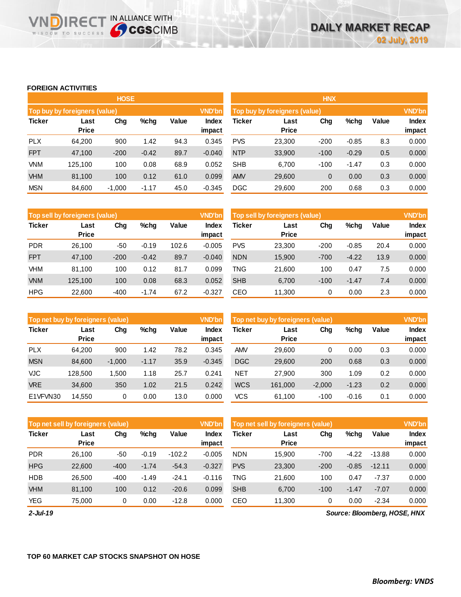## **FOREIGN ACTIVITIES**

**VNDIRECT IN ALLIANCE WITH** 

|               |                               | <b>HOSE</b> |               |       |                               | <b>HNX</b>    |                      |             |               |       |                        |
|---------------|-------------------------------|-------------|---------------|-------|-------------------------------|---------------|----------------------|-------------|---------------|-------|------------------------|
|               | Top buy by foreigners (value) |             | <b>VND'bn</b> |       | Top buy by foreigners (value) |               |                      |             | <b>VND'bn</b> |       |                        |
| <b>Ticker</b> | Last<br><b>Price</b>          | Chg         | $%$ chg       | Value | <b>Index</b><br>impact        | <b>Ticker</b> | Last<br><b>Price</b> | Chg         | %chg          | Value | <b>Index</b><br>impact |
| <b>PLX</b>    | 64,200                        | 900         | 1.42          | 94.3  | 0.345                         | <b>PVS</b>    | 23,300               | $-200$      | $-0.85$       | 8.3   | 0.000                  |
| <b>FPT</b>    | 47,100                        | $-200$      | $-0.42$       | 89.7  | $-0.040$                      | <b>NTP</b>    | 33,900               | $-100$      | $-0.29$       | 0.5   | 0.000                  |
| <b>VNM</b>    | 125.100                       | 100         | 0.08          | 68.9  | 0.052                         | <b>SHB</b>    | 6,700                | $-100$      | $-1.47$       | 0.3   | 0.000                  |
| <b>VHM</b>    | 81,100                        | 100         | 0.12          | 61.0  | 0.099                         | <b>AMV</b>    | 29,600               | $\mathbf 0$ | 0.00          | 0.3   | 0.000                  |
| <b>MSN</b>    | 84,600                        | $-1,000$    | $-1.17$       | 45.0  | $-0.345$                      | <b>DGC</b>    | 29,600               | 200         | 0.68          | 0.3   | 0.000                  |

|               | <b>Top sell by foreigners (value)</b> |        |         |       | <b>VND'bn</b>   | Top sell by foreigners (value) |                      |        |         |       |                        |
|---------------|---------------------------------------|--------|---------|-------|-----------------|--------------------------------|----------------------|--------|---------|-------|------------------------|
| <b>Ticker</b> | Last<br><b>Price</b>                  | Chg    | $%$ chg | Value | Index<br>impact | Ticker                         | Last<br><b>Price</b> | Chg    | %chg    | Value | <b>Index</b><br>impact |
| <b>PDR</b>    | 26.100                                | -50    | $-0.19$ | 102.6 | $-0.005$        | <b>PVS</b>                     | 23.300               | $-200$ | $-0.85$ | 20.4  | 0.000                  |
| <b>FPT</b>    | 47.100                                | $-200$ | $-0.42$ | 89.7  | $-0.040$        | <b>NDN</b>                     | 15,900               | $-700$ | $-4.22$ | 13.9  | 0.000                  |
| VHM           | 81,100                                | 100    | 0.12    | 81.7  | 0.099           | TNG                            | 21,600               | 100    | 0.47    | 7.5   | 0.000                  |
| <b>VNM</b>    | 125.100                               | 100    | 0.08    | 68.3  | 0.052           | <b>SHB</b>                     | 6,700                | $-100$ | $-1.47$ | 7.4   | 0.000                  |
| <b>HPG</b>    | 22,600                                | $-400$ | $-1.74$ | 67.2  | $-0.327$        | CEO                            | 11,300               | 0      | 0.00    | 2.3   | 0.000                  |

|               | <b>VND'bn</b><br>Top net buy by foreigners (value) |          |         |              |                        |            | Top net buy by foreigners (value) |          |         |       |                        |
|---------------|----------------------------------------------------|----------|---------|--------------|------------------------|------------|-----------------------------------|----------|---------|-------|------------------------|
| <b>Ticker</b> | Last<br><b>Price</b>                               | Chg      | $%$ chg | <b>Value</b> | <b>Index</b><br>impact | Ticker     | Last<br><b>Price</b>              | Chg      | %chg    | Value | <b>Index</b><br>impact |
| <b>PLX</b>    | 64.200                                             | 900      | 1.42    | 78.2         | 0.345                  | <b>AMV</b> | 29,600                            | 0        | 0.00    | 0.3   | 0.000                  |
| <b>MSN</b>    | 84.600                                             | $-1,000$ | $-1.17$ | 35.9         | $-0.345$               | <b>DGC</b> | 29,600                            | 200      | 0.68    | 0.3   | 0.000                  |
| VJC           | 128.500                                            | 1.500    | 1.18    | 25.7         | 0.241                  | <b>NET</b> | 27,900                            | 300      | 1.09    | 0.2   | 0.000                  |
| <b>VRE</b>    | 34,600                                             | 350      | 1.02    | 21.5         | 0.242                  | <b>WCS</b> | 161.000                           | $-2,000$ | $-1.23$ | 0.2   | 0.000                  |
| E1VFVN30      | 14.550                                             | 0        | 0.00    | 13.0         | 0.000                  | <b>VCS</b> | 61.100                            | $-100$   | $-0.16$ | 0.1   | 0.000                  |

| <b>VND'bn</b><br>Top net sell by foreigners (value) |                      |        |         |          |                 | Top net sell by foreigners (value) |                      | <b>VND'bn</b> |         |          |                 |
|-----------------------------------------------------|----------------------|--------|---------|----------|-----------------|------------------------------------|----------------------|---------------|---------|----------|-----------------|
| <b>Ticker</b>                                       | Last<br><b>Price</b> | Chg    | $%$ chg | Value    | Index<br>impact | Ticker                             | Last<br><b>Price</b> | Chg           | %chg    | Value    | Index<br>impact |
| <b>PDR</b>                                          | 26.100               | $-50$  | $-0.19$ | $-102.2$ | $-0.005$        | <b>NDN</b>                         | 15.900               | $-700$        | $-4.22$ | $-13.88$ | 0.000           |
| <b>HPG</b>                                          | 22,600               | $-400$ | $-1.74$ | $-54.3$  | $-0.327$        | <b>PVS</b>                         | 23,300               | $-200$        | $-0.85$ | $-12.11$ | 0.000           |
| <b>HDB</b>                                          | 26.500               | $-400$ | $-1.49$ | $-24.1$  | $-0.116$        | TNG                                | 21.600               | 100           | 0.47    | $-7.37$  | 0.000           |
| <b>VHM</b>                                          | 81,100               | 100    | 0.12    | $-20.6$  | 0.099           | <b>SHB</b>                         | 6,700                | $-100$        | $-1.47$ | $-7.07$  | 0.000           |
| <b>YEG</b>                                          | 75.000               | 0      | 0.00    | $-12.8$  | 0.000           | CEO                                | 11,300               | 0             | 0.00    | $-2.34$  | 0.000           |

*2-Jul-19*

*Source: Bloomberg, HOSE, HNX*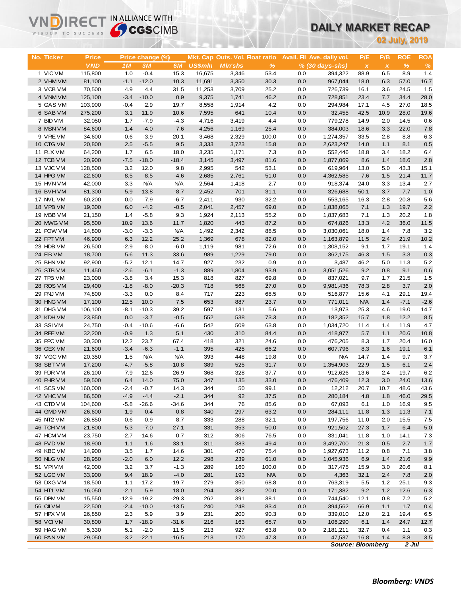# **DAILY MARKET RECAP**

|                        | <b>Sy CGS</b> CIMB<br>WISDOM TO SUCCESS |                |                        |                    |                |                                                   |               |            | <b>UAILY MARKET RECAP</b>                     |                          |                     |                    |                    |
|------------------------|-----------------------------------------|----------------|------------------------|--------------------|----------------|---------------------------------------------------|---------------|------------|-----------------------------------------------|--------------------------|---------------------|--------------------|--------------------|
|                        |                                         |                |                        |                    |                |                                                   |               |            |                                               |                          |                     | 02 July, 2019      |                    |
|                        |                                         |                |                        |                    |                |                                                   |               |            |                                               |                          |                     |                    |                    |
| No. Ticker             | <b>Price</b><br><b>VND</b>              | 1 <sub>M</sub> | Price change (%)<br>3M | 6M                 | <b>US\$mln</b> | Mkt. Cap Outs. Vol. Float ratio<br><b>MIn'shs</b> | $\%$          |            | Avail. Fil Ave. daily vol.<br>% (30 days-shs) | P/E<br>$\pmb{\chi}$      | P/B<br>$\pmb{\chi}$ | <b>ROE</b><br>$\%$ | <b>ROA</b><br>$\%$ |
| 1 VIC VM               | 115,800                                 | 1.0            | $-0.4$                 | 15.3               | 16,675         | 3,346                                             | 53.4          | 0.0        | 394,322                                       | 88.9                     | 6.5                 | 8.9                | 1.4                |
| 2 VHM VM               | 81,100                                  | $-1.1$         | $-12.0$                | 10.3               | 11,691         | 3,350                                             | 30.3          | 0.0        | 967,044                                       | 18.0                     | 6.3                 | 57.0               | 16.7               |
| 3 VCB VM               | 70,500                                  | 4.9            | 4.4                    | 31.5               | 11,253         | 3,709                                             | 25.2          | 0.0        | 726,739                                       | 16.1                     | 3.6                 | 24.5               | 1.5                |
| 4 VNM VM               | 125,100                                 | $-3.4$         | $-10.0$                | 0.9                | 9,375          | 1,741                                             | 46.2          | 0.0        | 728,851                                       | 23.4                     | 7.7                 | 34.4               | 28.0               |
| 5 GAS VM               | 103,900                                 | $-0.4$         | 2.9                    | 19.7               | 8,558          | 1,914                                             | 4.2           | 0.0        | 294.984                                       | 17.1                     | 4.5                 | 27.0               | 18.5               |
| 6 SAB VM               | 275,200                                 | 3.1            | 11.9                   | 10.6               | 7,595          | 641                                               | 10.4          | 0.0        | 32,455                                        | 42.5                     | 10.9                | 28.0               | 19.6               |
| 7 BID VM               | 32,050                                  | 1.7<br>$-1.4$  | $-7.9$                 | $-4.3$             | 4,716          | 3,419                                             | 4.4           | 0.0        | 779,278                                       | 14.9                     | 2.0                 | 14.5               | 0.6                |
| 8 MSN VM<br>9 VRE VM   | 84,600<br>34,600                        | $-0.6$         | $-4.0$<br>$-3.9$       | 7.6<br>20.1        | 4,256<br>3,468 | 1,169<br>2,329                                    | 25.4<br>100.0 | 0.0<br>0.0 | 384,003<br>1,274,357                          | 18.6<br>33.5             | 3.3<br>2.8          | 22.0<br>8.8        | 7.8<br>6.3         |
| 10 CTG VM              | 20,800                                  | 2.5            | $-5.5$                 | 9.5                | 3,333          | 3,723                                             | 15.8          | 0.0        | 2,623,247                                     | 14.0                     | 1.1                 | 8.1                | 0.5                |
| 11 PLX VM              | 64,200                                  | 1.7            | 6.5                    | 18.0               | 3,235          | 1,171                                             | 7.3           | 0.0        | 552,446                                       | 18.8                     | 3.4                 | 18.2               | 6.4                |
| 12 TCB VM              | 20,900                                  | $-7.5$         | $-18.0$                | $-18.4$            | 3,145          | 3,497                                             | 81.6          | 0.0        | 1,877,069                                     | 8.6                      | 1.4                 | 18.6               | 2.8                |
| 13 VJC VM              | 128,500                                 | 3.2            | 12.0                   | 9.8                | 2,995          | 542                                               | 53.1          | 0.0        | 619,964                                       | 13.0                     | 5.0                 | 43.3               | 15.1               |
| 14 HPG VM              | 22,600                                  | $-8.5$         | $-8.5$                 | $-4.6$             | 2,685          | 2,761                                             | 51.0          | 0.0        | 4,362,585                                     | 7.6                      | 1.5                 | 21.4               | 11.7               |
| 15 HVN VM              | 42,000                                  | $-3.3$         | <b>N/A</b>             | <b>N/A</b>         | 2,564          | 1,418                                             | 2.7           | 0.0        | 918,374                                       | 24.0                     | 3.3                 | 13.4               | 2.7                |
| 16 BVH VM              | 81,300                                  | 5.9            | $-13.8$                | $-8.7$             | 2,452          | 701                                               | 31.1          | 0.0        | 326,688                                       | 50.1                     | 3.7                 | 7.7                | 1.0                |
| 17 NVL VM              | 60,200                                  | 0.0            | 7.9                    | $-6.7$             | 2,411          | 930                                               | 32.2          | 0.0        | 553,165                                       | 16.3                     | 2.8                 | 20.8               | 5.6                |
| 18 VPB VM              | 19,300                                  | 6.0            | $-4.2$                 | $-0.5$             | 2,041          | 2,457                                             | 69.0          | 0.0        | 1,838,065                                     | 7.1                      | 1.3                 | 19.7               | 2.2                |
| 19 MBB VM              | 21,150                                  | 1.4            | $-5.8$                 | 9.3                | 1,924          | 2,113                                             | 55.2          | 0.0        | 1,837,683                                     | 7.1                      | 1.3                 | 20.2               | 1.8                |
| 20 MWG VM<br>21 POW VM | 95,500<br>14,800                        | 10.9<br>$-3.0$ | 13.6<br>$-3.3$         | 11.7<br><b>N/A</b> | 1,820<br>1,492 | 443<br>2,342                                      | 87.2<br>88.5  | 0.0<br>0.0 | 674,826<br>3,030,061                          | 13.3<br>18.0             | 4.2<br>1.4          | 36.0<br>7.8        | 11.5<br>3.2        |
| 22 FPT VM              | 46,900                                  | 6.3            | 12.2                   | 25.2               | 1,369          | 678                                               | 82.0          | 0.0        | 1,163,879                                     | 11.5                     | 2.4                 | 21.9               | 10.2               |
| 23 HDB VM              | 26,500                                  | $-2.9$         | $-8.0$                 | $-6.0$             | 1,119          | 981                                               | 72.6          | 0.0        | 1,308,152                                     | 9.1                      | 1.7                 | 19.1               | 1.4                |
| 24 EIB VM              | 18,700                                  | 5.6            | 11.3                   | 33.6               | 989            | 1,229                                             | 79.0          | 0.0        | 362,175                                       | 46.3                     | 1.5                 | 3.3                | 0.3                |
| 25 BHN VM              | 92,900                                  | $-5.2$         | 12.1                   | 14.7               | 927            | 232                                               | 0.9           | 0.0        | 3,487                                         | 46.2                     | 5.0                 | 11.3               | 5.2                |
| 26 STB VM              | 11,450                                  | $-2.6$         | $-6.1$                 | $-1.3$             | 889            | 1,804                                             | 93.9          | 0.0        | 3,051,526                                     | 9.2                      | 0.8                 | 9.1                | 0.6                |
| 27 TPB VM              | 23,000                                  | $-3.8$         | 3.4                    | 15.3               | 818            | 827                                               | 69.8          | 0.0        | 837,021                                       | 9.7                      | 1.7                 | 21.5               | 1.5                |
| 28 ROS VM              | 29,400                                  | $-1.8$         | $-8.0$                 | $-20.3$            | 718            | 568                                               | 27.0          | 0.0        | 9,981,436                                     | 78.3                     | 2.8                 | 3.7                | 2.0                |
| 29 PNJ VM              | 74,800                                  | $-3.3$         | 0.0                    | 8.4                | 717            | 223                                               | 68.5          | 0.0        | 516,877                                       | 15.6                     | 4.1                 | 29.1               | 19.4               |
| 30 HNG VM              | 17,100                                  | 12.5           | 10.0                   | 7.5                | 653            | 887                                               | 23.7          | 0.0        | 771,011                                       | <b>N/A</b>               | 1.4                 | $-7.1$             | $-2.6$             |
| 31 DHG VM              | 106,100                                 | $-8.1$         | $-10.3$                | 39.2               | 597            | 131                                               | 5.6           | 0.0        | 13,973                                        | 25.3                     | 4.6                 | 19.0               | 14.7               |
| 32 KDH VM              | 23,850                                  | 0.0            | $-3.7$                 | $-0.5$             | 552            | 538                                               | 73.3          | 0.0        | 182,352                                       | 15.7                     | 1.8                 | 12.2               | 8.5                |
| 33 SSIVM               | 24,750                                  | $-0.4$         | $-10.6$                | $-6.6$             | 542            | 509                                               | 63.8          | 0.0<br>0.0 | 1,034,720                                     | 11.4                     | 1.4<br>1.1          | 11.9<br>20.6       | 4.7                |
| 34 REE VM<br>35 PPC VM | 32,200<br>30,300                        | $-0.9$<br>12.2 | 1.3<br>23.7            | 5.1<br>67.4        | 430<br>418     | 310<br>321                                        | 84.4<br>24.6  | 0.0        | 418,977<br>476,205                            | 5.7<br>8.3               | 1.7                 | 20.4               | 10.8<br>16.0       |
| 36 GEX VM              | 21,600                                  | $-3.4$         | $-6.3$                 | $-1.1$             | 395            | 425                                               | 66.2          | 0.0        | 607,796                                       | 8.3                      | 1.6                 | 19.1               | 6.1                |
| 37 VGC VM              | 20,350                                  | 1.5            | <b>N/A</b>             | <b>N/A</b>         | 393            | 448                                               | 19.8          | 0.0        | <b>N/A</b>                                    | 14.7                     | 1.4                 | 9.7                | 3.7                |
| 38 SBT VM              | 17,200                                  | $-4.7$         | $-5.8$                 | $-10.8$            | 389            | 525                                               | 31.7          | 0.0        | 1,354,903                                     | 22.9                     | $1.5\,$             | 6.1                | $2.4\,$            |
| 39 PDR VM              | 26,100                                  | 7.9            | 12.6                   | 26.9               | 368            | 328                                               | 37.7          | 0.0        | 912,626                                       | 13.6                     | 2.4                 | 19.7               | 6.2                |
| 40 PHR VM              | 59,500                                  | 6.4            | 14.0                   | 75.0               | 347            | 135                                               | 33.0          | 0.0        | 476,409                                       | 12.3                     | 3.0                 | 24.0               | 13.6               |
| 41 SCS VM              | 160,000                                 | $-2.4$         | $-0.7$                 | 14.3               | 344            | 50                                                | 99.1          | 0.0        | 12,212                                        | 20.7                     | 10.7                | 48.6               | 43.6               |
| 42 VHC VM              | 86,500                                  | $-4.9$         | $-4.4$                 | $-2.1$             | 344            | 92                                                | 37.5          | 0.0        | 280,184                                       | 4.8                      | 1.8                 | 46.0               | 29.5               |
| 43 CTD VM              | 104,600                                 | $-5.8$         | $-26.6$                | $-34.6$            | 344            | 76                                                | 85.6          | 0.0        | 67,093                                        | 6.1                      | 1.0                 | 16.9               | 9.5                |
| 44 GMD VM              | 26,600                                  | 1.9            | 0.4                    | 0.8                | 340            | 297                                               | 63.2          | 0.0        | 284,111                                       | 11.8                     | 1.3                 | 11.3               | 7.1                |
| 45 NT2 VM              | 26,850                                  | $-0.6$         | $-0.9$                 | 8.7                | 333            | 288                                               | 32.1          | 0.0        | 197,756                                       | 11.0                     | 2.0                 | 15.5               | 7.5                |
| 46 TCH VM<br>47 HCM VM | 21,800<br>23,750                        | 5.3<br>$-2.7$  | $-7.0$<br>$-14.6$      | 27.1<br>0.7        | 331<br>312     | 353<br>306                                        | 50.0<br>76.5  | 0.0<br>0.0 | 921,502<br>331,041                            | 27.3<br>11.8             | 1.7<br>1.0          | 6.4<br>14.1        | 5.0<br>7.3         |
| 48 PVD VM              | 18,900                                  | 1.1            | 1.6                    | 33.1               | 311            | 383                                               | 49.4          | 0.0        | 3,492,700                                     | 21.3                     | 0.5                 | 2.7                | 1.7                |
| 49 KBC VM              | 14,900                                  | 3.5            | 1.7                    | 14.6               | 301            | 470                                               | 75.4          | 0.0        | 1,927,673                                     | 11.2                     | 0.8                 | 7.1                | 3.8                |
| 50 NLG VM              | 28,950                                  | $-2.0$         | 6.0                    | 12.2               | 298            | 239                                               | 61.0          | 0.0        | 1,045,936                                     | 6.9                      | 1.4                 | 21.6               | 9.9                |
| 51 VPI VM              | 42,000                                  | 3.2            | 3.7                    | $-1.3$             | 289            | 160                                               | 100.0         | 0.0        | 317,475                                       | 15.9                     | 3.0                 | 20.6               | 8.1                |
| 52 LGC VM              | 33,900                                  | 9.4            | 18.9                   | $-4.0$             | 281            | 193                                               | <b>N/A</b>    | 0.0        | 4,363                                         | 32.1                     | 2.4                 | 7.8                | 2.0                |
| 53 DXG VM              | 18,500                                  | 1.1            | $-17.2$                | $-19.7$            | 279            | 350                                               | 68.8          | 0.0        | 763,319                                       | 5.5                      | 1.2                 | 25.1               | 9.3                |
| 54 HT1 VM              | 16,050                                  | $-2.1$         | 5.9                    | 18.0               | 264            | 382                                               | 20.0          | 0.0        | 171,382                                       | 9.2                      | 1.2                 | 12.6               | 6.3                |
| 55 DPM VM              | 15,550                                  | $-12.9$        | $-19.2$                | $-29.3$            | 262            | 391                                               | 38.1          | 0.0        | 744,540                                       | 12.1                     | 0.8                 | 7.2                | $5.2$              |
| 56 CII VM              | 22,500                                  | $-2.4$         | $-10.0$                | $-13.5$            | 240            | 248                                               | 83.4          | 0.0        | 394,562                                       | 66.9                     | 1.1                 | 1.7                | 0.4                |
| 57 HPX VM              | 26,850                                  | 2.3            | 5.9                    | 3.9                | 231            | 200                                               | 90.3          | 0.0        | 339,010                                       | 12.0                     | 2.1                 | 19.4               | 6.5                |
| 58 VCIVM               | 30,800                                  | 1.7            | $-18.9$                | $-31.6$            | 216            | 163                                               | 65.7          | 0.0        | 106,290                                       | 6.1                      | 1.4                 | 24.7               | 12.7               |
| 59 HAG VM<br>60 PAN VM | 5,330<br>29,050                         | 5.1            | $-2.0$<br>$-3.2 -22.1$ | 11.5<br>$-16.5$    | 213<br>213     | 927<br>170                                        | 63.8<br>47.3  | 0.0<br>0.0 | 2,181,211<br>47,537                           | 32.7<br>16.8             | 0.4<br>1.4          | 1.1<br>8.8         | 0.3<br>$3.5\,$     |
|                        |                                         |                |                        |                    |                |                                                   |               |            |                                               | <b>Source: Bloomberg</b> |                     | $2$ Jul            |                    |

**VNDIRECT IN ALLIANCE WITH**